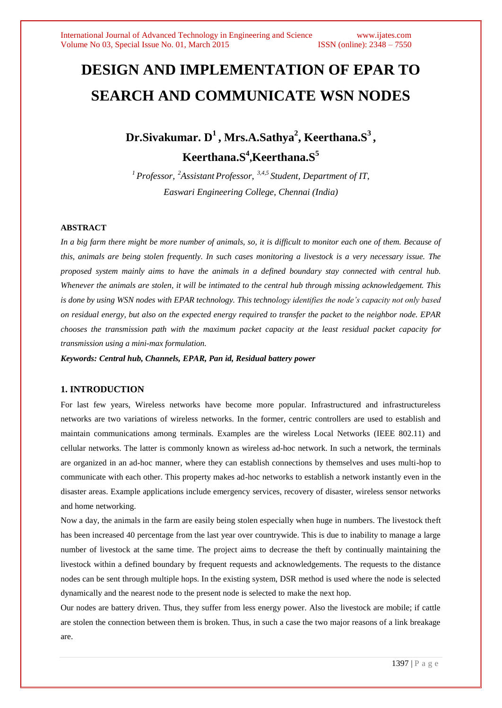# **DESIGN AND IMPLEMENTATION OF EPAR TO SEARCH AND COMMUNICATE WSN NODES**

**Dr.Sivakumar. D 1 , Mrs.A.Sathya<sup>2</sup> , Keerthana.S<sup>3</sup> , Keerthana.S<sup>4</sup> ,Keerthana.S<sup>5</sup>**

*<sup>1</sup>Professor, <sup>2</sup>Assistant Professor, 3,4,5 Student, Department of IT, Easwari Engineering College, Chennai (India)*

## **ABSTRACT**

In a big farm there might be more number of animals, so, it is difficult to monitor each one of them. Because of *this, animals are being stolen frequently. In such cases monitoring a livestock is a very necessary issue. The proposed system mainly aims to have the animals in a defined boundary stay connected with central hub. Whenever the animals are stolen, it will be intimated to the central hub through missing acknowledgement. This is done by using WSN nodes with EPAR technology. This technology identifies the node's capacity not only based on residual energy, but also on the expected energy required to transfer the packet to the neighbor node. EPAR chooses the transmission path with the maximum packet capacity at the least residual packet capacity for transmission using a mini-max formulation.* 

*Keywords: Central hub, Channels, EPAR, Pan id, Residual battery power*

# **1. INTRODUCTION**

For last few years, Wireless networks have become more popular. Infrastructured and infrastructureless networks are two variations of wireless networks. In the former, centric controllers are used to establish and maintain communications among terminals. Examples are the wireless Local Networks (IEEE 802.11) and cellular networks. The latter is commonly known as wireless ad-hoc network. In such a network, the terminals are organized in an ad-hoc manner, where they can establish connections by themselves and uses multi-hop to communicate with each other. This property makes ad-hoc networks to establish a network instantly even in the disaster areas. Example applications include emergency services, recovery of disaster, wireless sensor networks and home networking.

Now a day, the animals in the farm are easily being stolen especially when huge in numbers. The livestock theft has been increased 40 percentage from the last year over countrywide. This is due to inability to manage a large number of livestock at the same time. The project aims to decrease the theft by continually maintaining the livestock within a defined boundary by frequent requests and acknowledgements. The requests to the distance nodes can be sent through multiple hops. In the existing system, DSR method is used where the node is selected dynamically and the nearest node to the present node is selected to make the next hop.

Our nodes are battery driven. Thus, they suffer from less energy power. Also the livestock are mobile; if cattle are stolen the connection between them is broken. Thus, in such a case the two major reasons of a link breakage are.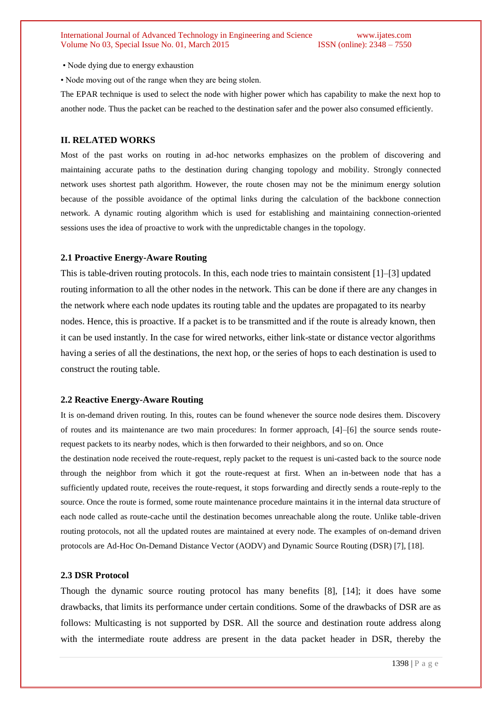• Node dying due to energy exhaustion

• Node moving out of the range when they are being stolen.

The EPAR technique is used to select the node with higher power which has capability to make the next hop to another node. Thus the packet can be reached to the destination safer and the power also consumed efficiently.

#### **II. RELATED WORKS**

Most of the past works on routing in ad-hoc networks emphasizes on the problem of discovering and maintaining accurate paths to the destination during changing topology and mobility. Strongly connected network uses shortest path algorithm. However, the route chosen may not be the minimum energy solution because of the possible avoidance of the optimal links during the calculation of the backbone connection network. A dynamic routing algorithm which is used for establishing and maintaining connection-oriented sessions uses the idea of proactive to work with the unpredictable changes in the topology.

#### **2.1 Proactive Energy-Aware Routing**

This is table-driven routing protocols. In this, each node tries to maintain consistent [1]–[3] updated routing information to all the other nodes in the network. This can be done if there are any changes in the network where each node updates its routing table and the updates are propagated to its nearby nodes. Hence, this is proactive. If a packet is to be transmitted and if the route is already known, then it can be used instantly. In the case for wired networks, either link-state or distance vector algorithms having a series of all the destinations, the next hop, or the series of hops to each destination is used to construct the routing table.

#### **2.2 Reactive Energy-Aware Routing**

It is on-demand driven routing. In this, routes can be found whenever the source node desires them. Discovery of routes and its maintenance are two main procedures: In former approach, [4]–[6] the source sends routerequest packets to its nearby nodes, which is then forwarded to their neighbors, and so on. Once the destination node received the route-request, reply packet to the request is uni-casted back to the source node through the neighbor from which it got the route-request at first. When an in-between node that has a sufficiently updated route, receives the route-request, it stops forwarding and directly sends a route-reply to the source. Once the route is formed, some route maintenance procedure maintains it in the internal data structure of each node called as route-cache until the destination becomes unreachable along the route. Unlike table-driven routing protocols, not all the updated routes are maintained at every node. The examples of on-demand driven protocols are Ad-Hoc On-Demand Distance Vector (AODV) and Dynamic Source Routing (DSR) [7], [18].

#### **2.3 DSR Protocol**

Though the dynamic source routing protocol has many benefits [8], [14]; it does have some drawbacks, that limits its performance under certain conditions. Some of the drawbacks of DSR are as follows: Multicasting is not supported by DSR. All the source and destination route address along with the intermediate route address are present in the data packet header in DSR, thereby the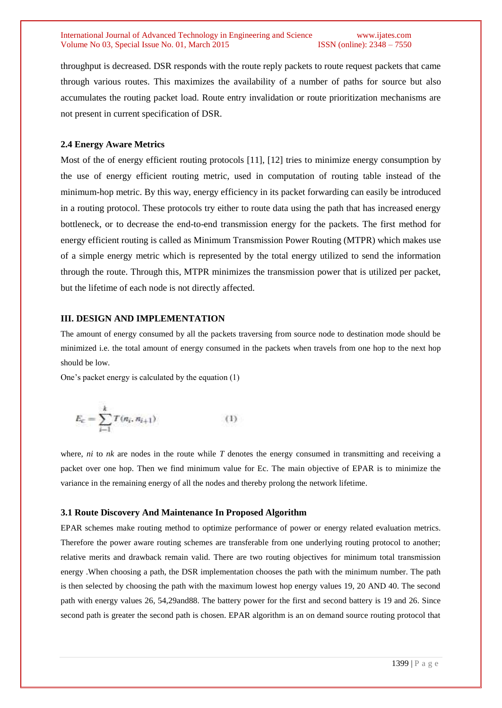#### International Journal of Advanced Technology in Engineering and Science www.ijates.com Volume No 03, Special Issue No. 01, March 2015 ISSN (online): 2348 – 7550

throughput is decreased. DSR responds with the route reply packets to route request packets that came through various routes. This maximizes the availability of a number of paths for source but also accumulates the routing packet load. Route entry invalidation or route prioritization mechanisms are not present in current specification of DSR.

## **2.4 Energy Aware Metrics**

Most of the of energy efficient routing protocols [11], [12] tries to minimize energy consumption by the use of energy efficient routing metric, used in computation of routing table instead of the minimum-hop metric. By this way, energy efficiency in its packet forwarding can easily be introduced in a routing protocol. These protocols try either to route data using the path that has increased energy bottleneck, or to decrease the end-to-end transmission energy for the packets. The first method for energy efficient routing is called as Minimum Transmission Power Routing (MTPR) which makes use of a simple energy metric which is represented by the total energy utilized to send the information through the route. Through this, MTPR minimizes the transmission power that is utilized per packet, but the lifetime of each node is not directly affected.

### **III. DESIGN AND IMPLEMENTATION**

The amount of energy consumed by all the packets traversing from source node to destination mode should be minimized i.e. the total amount of energy consumed in the packets when travels from one hop to the next hop should be low.

One's packet energy is calculated by the equation (1)

$$
E_c = \sum_{i=1}^{k} T(n_i, n_{i+1})
$$
 (1)

where, *ni* to *nk* are nodes in the route while *T* denotes the energy consumed in transmitting and receiving a packet over one hop. Then we find minimum value for Ec. The main objective of EPAR is to minimize the variance in the remaining energy of all the nodes and thereby prolong the network lifetime.

### **3.1 Route Discovery And Maintenance In Proposed Algorithm**

EPAR schemes make routing method to optimize performance of power or energy related evaluation metrics. Therefore the power aware routing schemes are transferable from one underlying routing protocol to another; relative merits and drawback remain valid. There are two routing objectives for minimum total transmission energy .When choosing a path, the DSR implementation chooses the path with the minimum number. The path is then selected by choosing the path with the maximum lowest hop energy values 19, 20 AND 40. The second path with energy values 26, 54,29and88. The battery power for the first and second battery is 19 and 26. Since second path is greater the second path is chosen. EPAR algorithm is an on demand source routing protocol that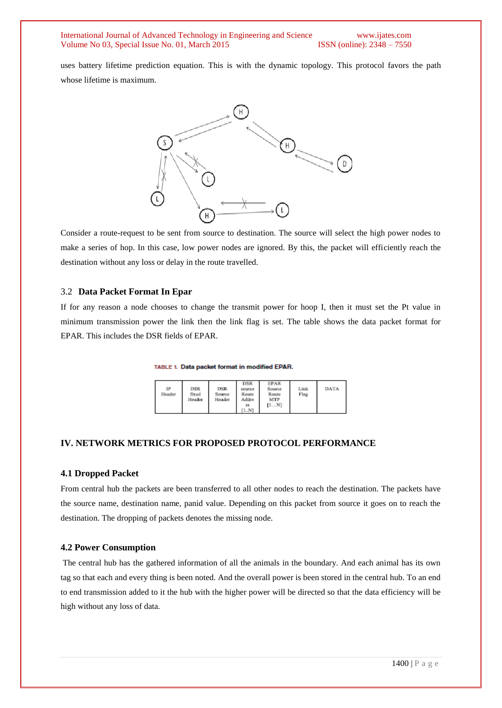International Journal of Advanced Technology in Engineering and Science www.ijates.com<br>Volume No 03. Special Issue No. 01. March 2015 **ISSN** (online): 2348 – 7550 Volume No 03, Special Issue No. 01, March 2015

uses battery lifetime prediction equation. This is with the dynamic topology. This protocol favors the path whose lifetime is maximum.



Consider a route-request to be sent from source to destination. The source will select the high power nodes to make a series of hop. In this case, low power nodes are ignored. By this, the packet will efficiently reach the destination without any loss or delay in the route travelled.

#### 3.2 **Data Packet Format In Epar**

If for any reason a node chooses to change the transmit power for hoop I, then it must set the Pt value in minimum transmission power the link then the link flag is set. The table shows the data packet format for EPAR. This includes the DSR fields of EPAR.

TABLE 1. Data packet format in modified EPAR.

| IP<br>Header | <b>DSR</b><br>fixed<br>Header | DSR<br>Source<br>Header | <b>DSR</b><br>source<br>Route<br>Addre<br>58<br>[1N] | <b>EPAR</b><br>Source<br>Route<br>MIP<br>[1N] | Link<br>Flag | DATA |
|--------------|-------------------------------|-------------------------|------------------------------------------------------|-----------------------------------------------|--------------|------|
|--------------|-------------------------------|-------------------------|------------------------------------------------------|-----------------------------------------------|--------------|------|

#### **IV. NETWORK METRICS FOR PROPOSED PROTOCOL PERFORMANCE**

#### **4.1 Dropped Packet**

From central hub the packets are been transferred to all other nodes to reach the destination. The packets have the source name, destination name, panid value. Depending on this packet from source it goes on to reach the destination. The dropping of packets denotes the missing node.

#### **4.2 Power Consumption**

The central hub has the gathered information of all the animals in the boundary. And each animal has its own tag so that each and every thing is been noted. And the overall power is been stored in the central hub. To an end to end transmission added to it the hub with the higher power will be directed so that the data efficiency will be high without any loss of data.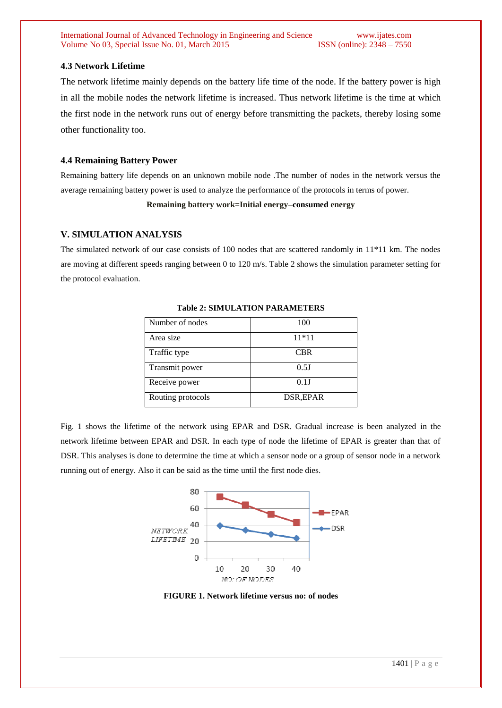International Journal of Advanced Technology in Engineering and Science www.ijates.com<br>Volume No 03. Special Issue No. 01. March 2015 **ISSN** (online): 2348 – 7550 Volume No 03, Special Issue No. 01, March 2015

## **4.3 Network Lifetime**

The network lifetime mainly depends on the battery life time of the node. If the battery power is high in all the mobile nodes the network lifetime is increased. Thus network lifetime is the time at which the first node in the network runs out of energy before transmitting the packets, thereby losing some other functionality too.

### **4.4 Remaining Battery Power**

Remaining battery life depends on an unknown mobile node .The number of nodes in the network versus the average remaining battery power is used to analyze the performance of the protocols in terms of power.

**Remaining battery work=Initial energy–consumed energy**

## **V. SIMULATION ANALYSIS**

The simulated network of our case consists of 100 nodes that are scattered randomly in 11\*11 km. The nodes are moving at different speeds ranging between 0 to 120 m/s. Table 2 shows the simulation parameter setting for the protocol evaluation.

| Number of nodes   | 100        |  |  |
|-------------------|------------|--|--|
| Area size         | $11*11$    |  |  |
| Traffic type      | <b>CBR</b> |  |  |
| Transmit power    | 0.5J       |  |  |
| Receive power     | $0.1$ J    |  |  |
| Routing protocols | DSR, EPAR  |  |  |

## **Table 2: SIMULATION PARAMETERS**

Fig. 1 shows the lifetime of the network using EPAR and DSR. Gradual increase is been analyzed in the network lifetime between EPAR and DSR. In each type of node the lifetime of EPAR is greater than that of DSR. This analyses is done to determine the time at which a sensor node or a group of sensor node in a network running out of energy. Also it can be said as the time until the first node dies.



**FIGURE 1. Network lifetime versus no: of nodes**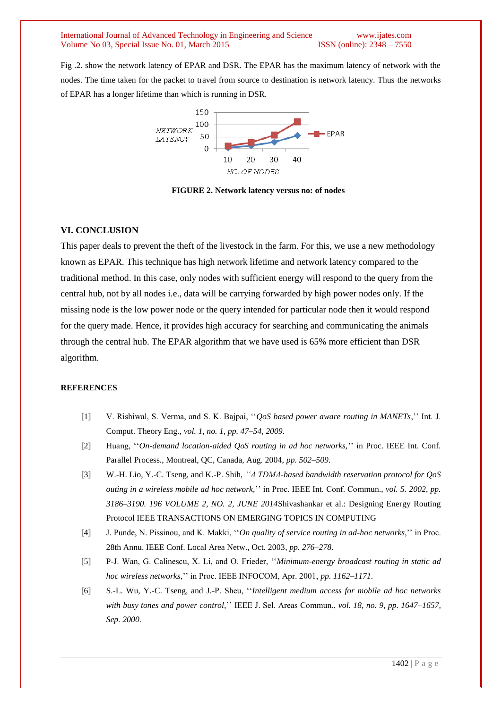International Journal of Advanced Technology in Engineering and Science www.ijates.com Volume No 03, Special Issue No. 01, March 2015 ISSN (online): 2348 – 7550

Fig .2. show the network latency of EPAR and DSR. The EPAR has the maximum latency of network with the nodes. The time taken for the packet to travel from source to destination is network latency. Thus the networks of EPAR has a longer lifetime than which is running in DSR.



**FIGURE 2. Network latency versus no: of nodes**

## **VI. CONCLUSION**

This paper deals to prevent the theft of the livestock in the farm. For this, we use a new methodology known as EPAR. This technique has high network lifetime and network latency compared to the traditional method. In this case, only nodes with sufficient energy will respond to the query from the central hub, not by all nodes i.e., data will be carrying forwarded by high power nodes only. If the missing node is the low power node or the query intended for particular node then it would respond for the query made. Hence, it provides high accuracy for searching and communicating the animals through the central hub. The EPAR algorithm that we have used is 65% more efficient than DSR algorithm.

#### **REFERENCES**

- [1] V. Rishiwal, S. Verma, and S. K. Bajpai, ''*QoS based power aware routing in MANETs*,'' Int. J. Comput. Theory Eng*., vol. 1, no. 1, pp. 47–54, 2009.*
- [2] Huang, ''*On-demand location-aided QoS routing in ad hoc networks,*'' in Proc. IEEE Int. Conf. Parallel Process., Montreal, QC, Canada, Aug. 2004, *pp. 502–509*.
- [3] W.-H. Lio, Y.-C. Tseng, and K.-P. Shih, *''A TDMA-based bandwidth reservation protocol for QoS outing in a wireless mobile ad hoc network,*'' in Proc. IEEE Int. Conf. Commun., *vol. 5. 2002, pp. 3186–3190. 196 VOLUME 2, NO. 2, JUNE 2014*Shivashankar et al.: Designing Energy Routing Protocol IEEE TRANSACTIONS ON EMERGING TOPICS IN COMPUTING
- [4] J. Punde, N. Pissinou, and K. Makki, ''*On quality of service routing in ad-hoc networks,*'' in Proc. 28th Annu. IEEE Conf. Local Area Netw., Oct. 2003*, pp. 276–278.*
- [5] P-J. Wan, G. Calinescu, X. Li, and O. Frieder, ''*Minimum-energy broadcast routing in static ad hoc wireless networks*,'' in Proc. IEEE INFOCOM, Apr. 2001, *pp. 1162–1171.*
- [6] S.-L. Wu, Y.-C. Tseng, and J.-P. Sheu, ''*Intelligent medium access for mobile ad hoc networks with busy tones and power control,*'' IEEE J. Sel. Areas Commun., *vol. 18, no. 9, pp. 1647–1657, Sep. 2000.*